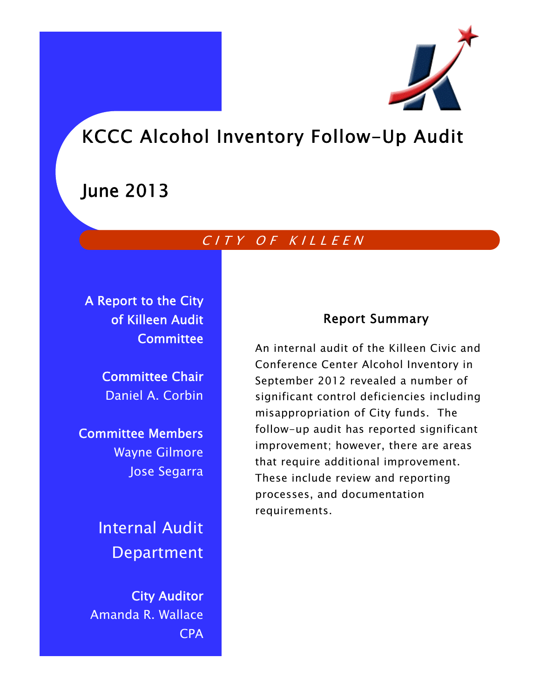

# KCCC Alcohol Inventory Follow-Up Audit

# June 2013

# CITY OF KILLEEN

A Report to the City of Killeen Audit **Committee** 

> Committee Chair Daniel A. Corbin

Committee Members Wayne Gilmore Jose Segarra

> Internal Audit Department

City Auditor Amanda R. Wallace CPA

# Report Summary

An internal audit of the Killeen Civic and Conference Center Alcohol Inventory in September 2012 revealed a number of significant control deficiencies including misappropriation of City funds. The follow-up audit has reported significant improvement; however, there are areas that require additional improvement. These include review and reporting processes, and documentation requirements.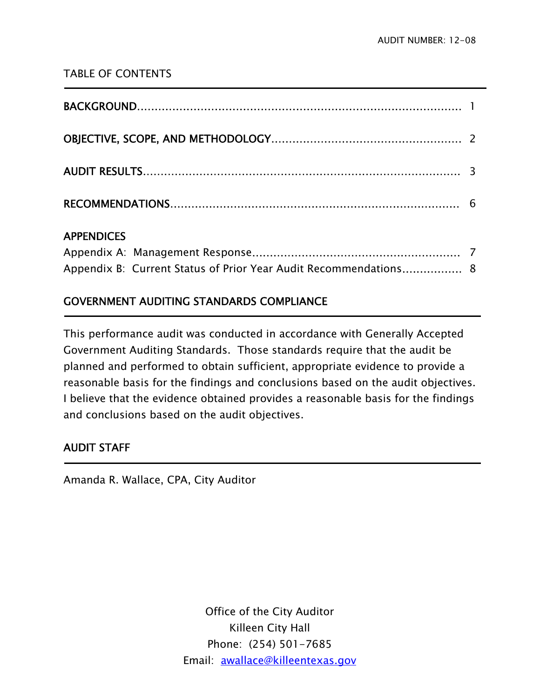# TABLE OF CONTENTS

| <b>APPENDICES</b> |  |
|-------------------|--|

# Appendix A: Management Response․․․․․․․․․․․․․․․․․․․․․․․․․․․․․․․․․․․․․․․․․․․․․․․․․․․․․․․․․․․ 7 Appendix B: Current Status of Prior Year Audit Recommendations................... 8

# GOVERNMENT AUDITING STANDARDS COMPLIANCE

This performance audit was conducted in accordance with Generally Accepted Government Auditing Standards. Those standards require that the audit be planned and performed to obtain sufficient, appropriate evidence to provide a reasonable basis for the findings and conclusions based on the audit objectives. I believe that the evidence obtained provides a reasonable basis for the findings and conclusions based on the audit objectives.

# AUDIT STAFF

Ī

**-**

Amanda R. Wallace, CPA, City Auditor

Office of the City Auditor Killeen City Hall Phone: (254) 501-7685 Email: awallace@killeentexas.gov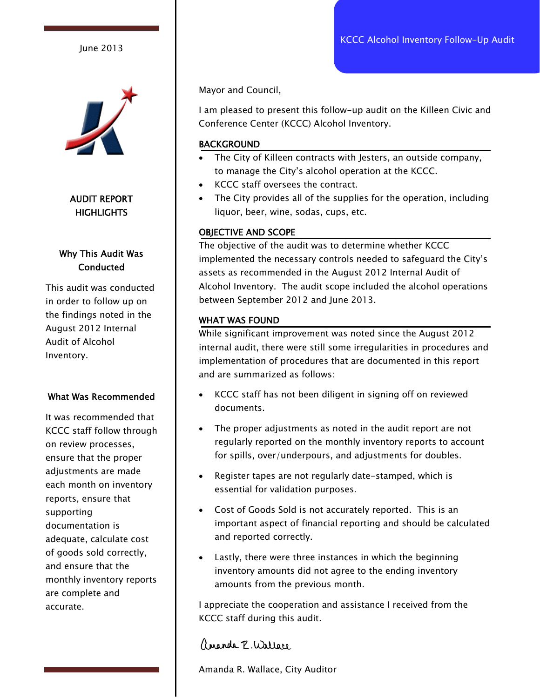June 2013



# AUDIT REPORT **HIGHLIGHTS**

# Why This Audit Was **Conducted**

This audit was conducted in order to follow up on the findings noted in the August 2012 Internal Audit of Alcohol Inventory.

#### What Was Recommended

It was recommended that KCCC staff follow through on review processes, ensure that the proper adjustments are made each month on inventory reports, ensure that supporting documentation is adequate, calculate cost of goods sold correctly, and ensure that the monthly inventory reports are complete and accurate.

Mayor and Council,

I am pleased to present this follow-up audit on the Killeen Civic and Conference Center (KCCC) Alcohol Inventory.

#### **BACKGROUND**

- The City of Killeen contracts with Jesters, an outside company, to manage the City's alcohol operation at the KCCC.
- KCCC staff oversees the contract.
- The City provides all of the supplies for the operation, including liquor, beer, wine, sodas, cups, etc.

### OBJECTIVE AND SCOPE

The objective of the audit was to determine whether KCCC implemented the necessary controls needed to safeguard the City's assets as recommended in the August 2012 Internal Audit of Alcohol Inventory. The audit scope included the alcohol operations between September 2012 and June 2013.

### WHAT WAS FOUND

While significant improvement was noted since the August 2012 internal audit, there were still some irregularities in procedures and implementation of procedures that are documented in this report and are summarized as follows:

- KCCC staff has not been diligent in signing off on reviewed documents.
- The proper adjustments as noted in the audit report are not regularly reported on the monthly inventory reports to account for spills, over/underpours, and adjustments for doubles.
- Register tapes are not regularly date-stamped, which is essential for validation purposes.
- Cost of Goods Sold is not accurately reported. This is an important aspect of financial reporting and should be calculated and reported correctly.
- Lastly, there were three instances in which the beginning inventory amounts did not agree to the ending inventory amounts from the previous month.

I appreciate the cooperation and assistance I received from the KCCC staff during this audit.

# angola P. Wallace

Amanda R. Wallace, City Auditor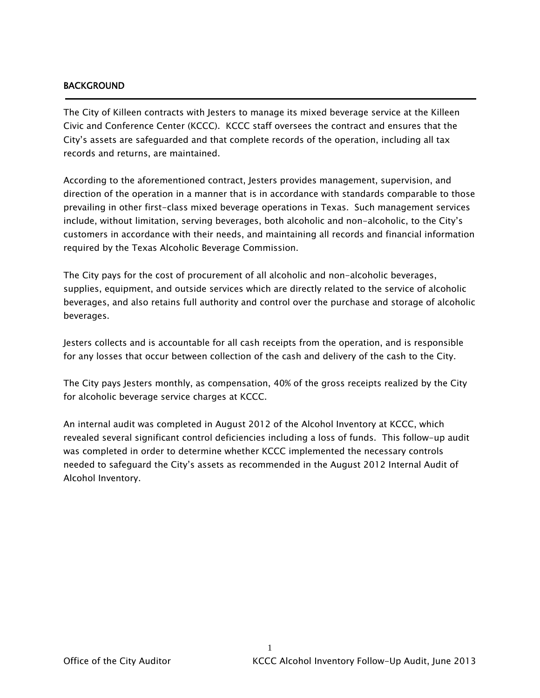#### BACKGROUND

j

The City of Killeen contracts with Jesters to manage its mixed beverage service at the Killeen Civic and Conference Center (KCCC). KCCC staff oversees the contract and ensures that the City's assets are safeguarded and that complete records of the operation, including all tax records and returns, are maintained.

According to the aforementioned contract, Jesters provides management, supervision, and direction of the operation in a manner that is in accordance with standards comparable to those prevailing in other first-class mixed beverage operations in Texas. Such management services include, without limitation, serving beverages, both alcoholic and non-alcoholic, to the City's customers in accordance with their needs, and maintaining all records and financial information required by the Texas Alcoholic Beverage Commission.

The City pays for the cost of procurement of all alcoholic and non-alcoholic beverages, supplies, equipment, and outside services which are directly related to the service of alcoholic beverages, and also retains full authority and control over the purchase and storage of alcoholic beverages.

Jesters collects and is accountable for all cash receipts from the operation, and is responsible for any losses that occur between collection of the cash and delivery of the cash to the City.

The City pays Jesters monthly, as compensation, 40% of the gross receipts realized by the City for alcoholic beverage service charges at KCCC.

An internal audit was completed in August 2012 of the Alcohol Inventory at KCCC, which revealed several significant control deficiencies including a loss of funds. This follow-up audit was completed in order to determine whether KCCC implemented the necessary controls needed to safeguard the City's assets as recommended in the August 2012 Internal Audit of Alcohol Inventory.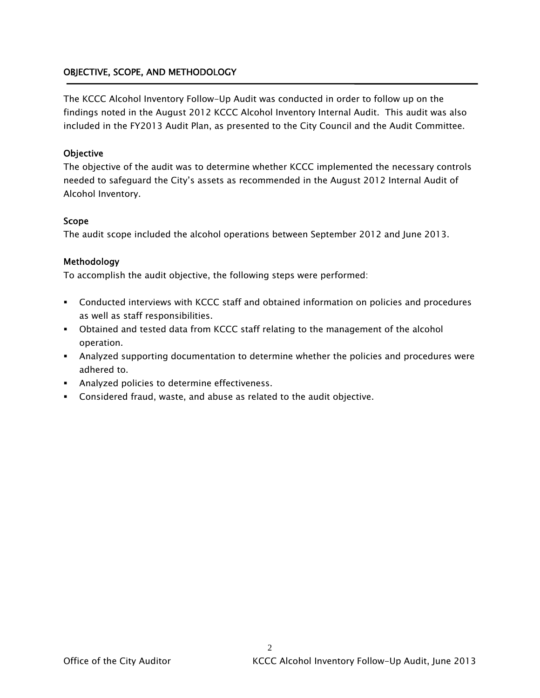## OBJECTIVE, SCOPE, AND METHODOLOGY

The KCCC Alcohol Inventory Follow-Up Audit was conducted in order to follow up on the findings noted in the August 2012 KCCC Alcohol Inventory Internal Audit. This audit was also included in the FY2013 Audit Plan, as presented to the City Council and the Audit Committee.

#### **Objective**

The objective of the audit was to determine whether KCCC implemented the necessary controls needed to safeguard the City's assets as recommended in the August 2012 Internal Audit of Alcohol Inventory.

#### Scope

The audit scope included the alcohol operations between September 2012 and June 2013.

#### Methodology

To accomplish the audit objective, the following steps were performed:

- Conducted interviews with KCCC staff and obtained information on policies and procedures as well as staff responsibilities.
- Obtained and tested data from KCCC staff relating to the management of the alcohol operation.
- Analyzed supporting documentation to determine whether the policies and procedures were adhered to.
- **Analyzed policies to determine effectiveness.**
- Considered fraud, waste, and abuse as related to the audit objective.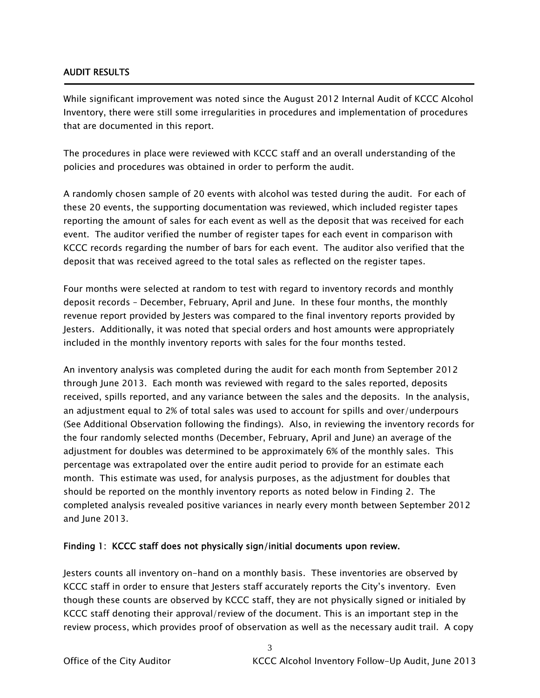#### AUDIT RESULTS

Ī

While significant improvement was noted since the August 2012 Internal Audit of KCCC Alcohol Inventory, there were still some irregularities in procedures and implementation of procedures that are documented in this report.

The procedures in place were reviewed with KCCC staff and an overall understanding of the policies and procedures was obtained in order to perform the audit.

A randomly chosen sample of 20 events with alcohol was tested during the audit. For each of these 20 events, the supporting documentation was reviewed, which included register tapes reporting the amount of sales for each event as well as the deposit that was received for each event. The auditor verified the number of register tapes for each event in comparison with KCCC records regarding the number of bars for each event. The auditor also verified that the deposit that was received agreed to the total sales as reflected on the register tapes.

Four months were selected at random to test with regard to inventory records and monthly deposit records – December, February, April and June. In these four months, the monthly revenue report provided by Jesters was compared to the final inventory reports provided by Jesters. Additionally, it was noted that special orders and host amounts were appropriately included in the monthly inventory reports with sales for the four months tested.

An inventory analysis was completed during the audit for each month from September 2012 through June 2013. Each month was reviewed with regard to the sales reported, deposits received, spills reported, and any variance between the sales and the deposits. In the analysis, an adjustment equal to 2% of total sales was used to account for spills and over/underpours (See Additional Observation following the findings). Also, in reviewing the inventory records for the four randomly selected months (December, February, April and June) an average of the adjustment for doubles was determined to be approximately 6% of the monthly sales. This percentage was extrapolated over the entire audit period to provide for an estimate each month. This estimate was used, for analysis purposes, as the adjustment for doubles that should be reported on the monthly inventory reports as noted below in Finding 2. The completed analysis revealed positive variances in nearly every month between September 2012 and June 2013.

#### Finding 1: KCCC staff does not physically sign/initial documents upon review.

Jesters counts all inventory on-hand on a monthly basis. These inventories are observed by KCCC staff in order to ensure that Jesters staff accurately reports the City's inventory. Even though these counts are observed by KCCC staff, they are not physically signed or initialed by KCCC staff denoting their approval/review of the document. This is an important step in the review process, which provides proof of observation as well as the necessary audit trail. A copy

3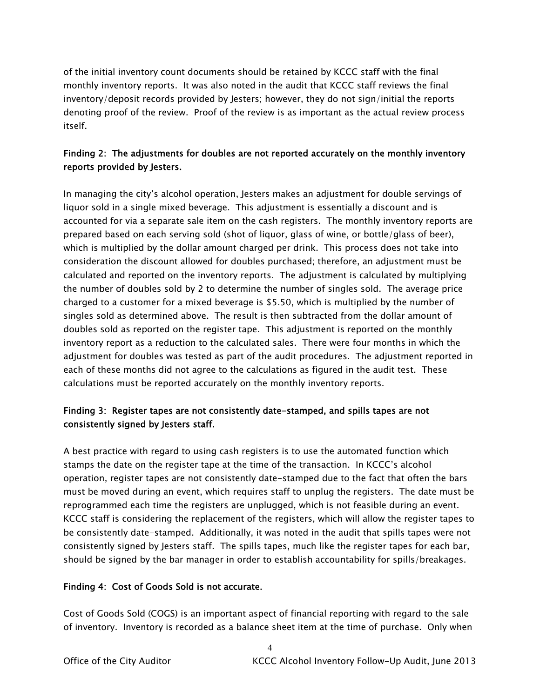of the initial inventory count documents should be retained by KCCC staff with the final monthly inventory reports. It was also noted in the audit that KCCC staff reviews the final inventory/deposit records provided by Jesters; however, they do not sign/initial the reports denoting proof of the review. Proof of the review is as important as the actual review process itself.

# Finding 2: The adjustments for doubles are not reported accurately on the monthly inventory reports provided by Jesters.

In managing the city's alcohol operation, Jesters makes an adjustment for double servings of liquor sold in a single mixed beverage. This adjustment is essentially a discount and is accounted for via a separate sale item on the cash registers. The monthly inventory reports are prepared based on each serving sold (shot of liquor, glass of wine, or bottle/glass of beer), which is multiplied by the dollar amount charged per drink. This process does not take into consideration the discount allowed for doubles purchased; therefore, an adjustment must be calculated and reported on the inventory reports. The adjustment is calculated by multiplying the number of doubles sold by 2 to determine the number of singles sold. The average price charged to a customer for a mixed beverage is \$5.50, which is multiplied by the number of singles sold as determined above. The result is then subtracted from the dollar amount of doubles sold as reported on the register tape. This adjustment is reported on the monthly inventory report as a reduction to the calculated sales. There were four months in which the adjustment for doubles was tested as part of the audit procedures. The adjustment reported in each of these months did not agree to the calculations as figured in the audit test. These calculations must be reported accurately on the monthly inventory reports.

# Finding 3: Register tapes are not consistently date-stamped, and spills tapes are not consistently signed by Jesters staff.

A best practice with regard to using cash registers is to use the automated function which stamps the date on the register tape at the time of the transaction. In KCCC's alcohol operation, register tapes are not consistently date-stamped due to the fact that often the bars must be moved during an event, which requires staff to unplug the registers. The date must be reprogrammed each time the registers are unplugged, which is not feasible during an event. KCCC staff is considering the replacement of the registers, which will allow the register tapes to be consistently date-stamped. Additionally, it was noted in the audit that spills tapes were not consistently signed by Jesters staff. The spills tapes, much like the register tapes for each bar, should be signed by the bar manager in order to establish accountability for spills/breakages.

## Finding 4: Cost of Goods Sold is not accurate.

Cost of Goods Sold (COGS) is an important aspect of financial reporting with regard to the sale of inventory. Inventory is recorded as a balance sheet item at the time of purchase. Only when

4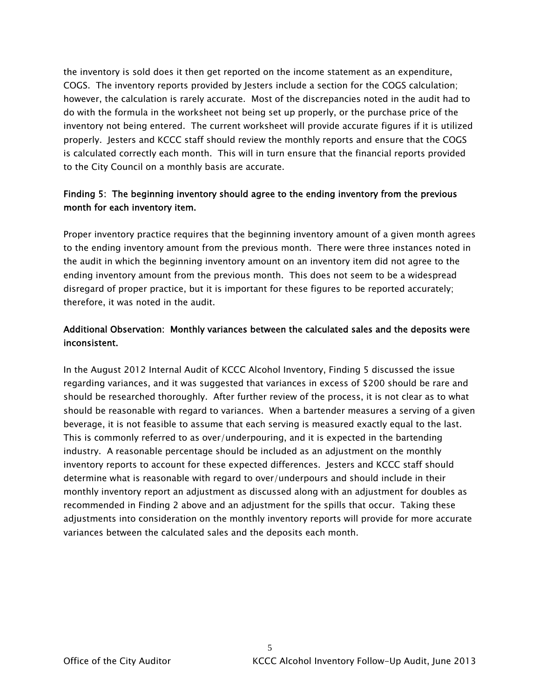the inventory is sold does it then get reported on the income statement as an expenditure, COGS. The inventory reports provided by Jesters include a section for the COGS calculation; however, the calculation is rarely accurate. Most of the discrepancies noted in the audit had to do with the formula in the worksheet not being set up properly, or the purchase price of the inventory not being entered. The current worksheet will provide accurate figures if it is utilized properly. Jesters and KCCC staff should review the monthly reports and ensure that the COGS is calculated correctly each month. This will in turn ensure that the financial reports provided to the City Council on a monthly basis are accurate.

# Finding 5: The beginning inventory should agree to the ending inventory from the previous month for each inventory item.

Proper inventory practice requires that the beginning inventory amount of a given month agrees to the ending inventory amount from the previous month. There were three instances noted in the audit in which the beginning inventory amount on an inventory item did not agree to the ending inventory amount from the previous month. This does not seem to be a widespread disregard of proper practice, but it is important for these figures to be reported accurately; therefore, it was noted in the audit.

# Additional Observation: Monthly variances between the calculated sales and the deposits were inconsistent.

In the August 2012 Internal Audit of KCCC Alcohol Inventory, Finding 5 discussed the issue regarding variances, and it was suggested that variances in excess of \$200 should be rare and should be researched thoroughly. After further review of the process, it is not clear as to what should be reasonable with regard to variances. When a bartender measures a serving of a given beverage, it is not feasible to assume that each serving is measured exactly equal to the last. This is commonly referred to as over/underpouring, and it is expected in the bartending industry. A reasonable percentage should be included as an adjustment on the monthly inventory reports to account for these expected differences. Jesters and KCCC staff should determine what is reasonable with regard to over/underpours and should include in their monthly inventory report an adjustment as discussed along with an adjustment for doubles as recommended in Finding 2 above and an adjustment for the spills that occur. Taking these adjustments into consideration on the monthly inventory reports will provide for more accurate variances between the calculated sales and the deposits each month.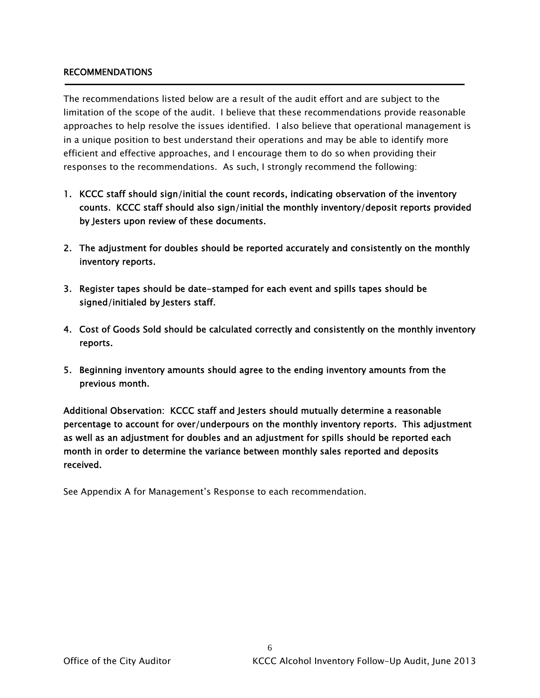#### RECOMMENDATIONS

The recommendations listed below are a result of the audit effort and are subject to the limitation of the scope of the audit. I believe that these recommendations provide reasonable approaches to help resolve the issues identified. I also believe that operational management is in a unique position to best understand their operations and may be able to identify more efficient and effective approaches, and I encourage them to do so when providing their responses to the recommendations. As such, I strongly recommend the following:

- 1. KCCC staff should sign/initial the count records, indicating observation of the inventory counts. KCCC staff should also sign/initial the monthly inventory/deposit reports provided by Jesters upon review of these documents.
- 2. The adjustment for doubles should be reported accurately and consistently on the monthly inventory reports.
- 3. Register tapes should be date-stamped for each event and spills tapes should be signed/initialed by Jesters staff.
- 4. Cost of Goods Sold should be calculated correctly and consistently on the monthly inventory reports.
- 5. Beginning inventory amounts should agree to the ending inventory amounts from the previous month.

Additional Observation: KCCC staff and Jesters should mutually determine a reasonable percentage to account for over/underpours on the monthly inventory reports. This adjustment as well as an adjustment for doubles and an adjustment for spills should be reported each month in order to determine the variance between monthly sales reported and deposits received.

See Appendix A for Management's Response to each recommendation.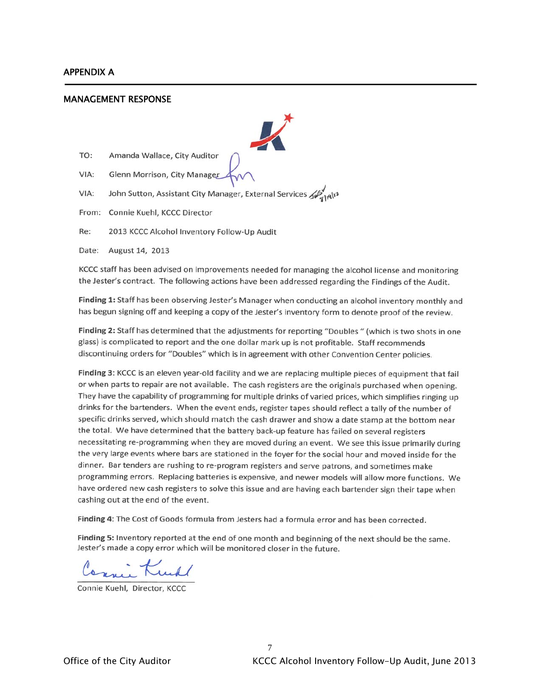#### APPENDIX A

j

#### MANAGEMENT RESPONSE



KCCC staff has been advised on improvements needed for managing the alcohol license and monitoring the Jester's contract. The following actions have been addressed regarding the Findings of the Audit.

Finding 1: Staff has been observing Jester's Manager when conducting an alcohol inventory monthly and has begun signing off and keeping a copy of the Jester's inventory form to denote proof of the review.

Finding 2: Staff has determined that the adjustments for reporting "Doubles " (which is two shots in one glass) is complicated to report and the one dollar mark up is not profitable. Staff recommends discontinuing orders for "Doubles" which is in agreement with other Convention Center policies.

Finding 3: KCCC is an eleven year-old facility and we are replacing multiple pieces of equipment that fail or when parts to repair are not available. The cash registers are the originals purchased when opening. They have the capability of programming for multiple drinks of varied prices, which simplifies ringing up drinks for the bartenders. When the event ends, register tapes should reflect a tally of the number of specific drinks served, which should match the cash drawer and show a date stamp at the bottom near the total. We have determined that the battery back-up feature has failed on several registers necessitating re-programming when they are moved during an event. We see this issue primarily during the very large events where bars are stationed in the foyer for the social hour and moved inside for the dinner. Bar tenders are rushing to re-program registers and serve patrons, and sometimes make programming errors. Replacing batteries is expensive, and newer models will allow more functions. We have ordered new cash registers to solve this issue and are having each bartender sign their tape when cashing out at the end of the event.

Finding 4: The Cost of Goods formula from Jesters had a formula error and has been corrected.

Finding 5: Inventory reported at the end of one month and beginning of the next should be the same. Jester's made a copy error which will be monitored closer in the future.

cani Kull

Connie Kuehl, Director, KCC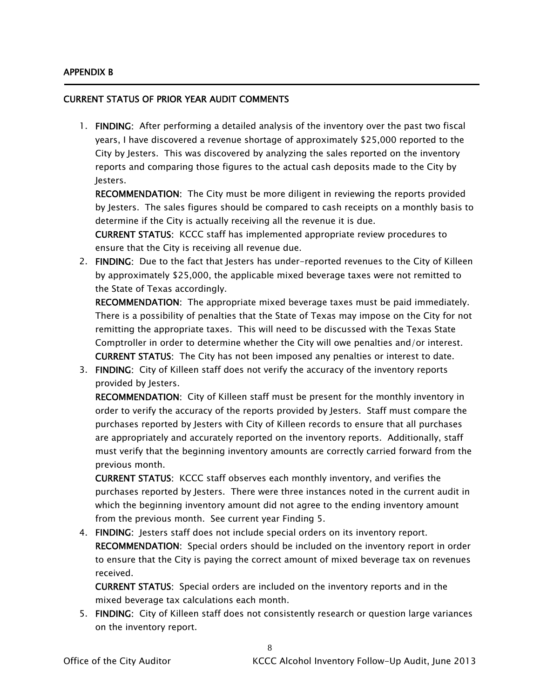#### APPENDIX B

j

#### CURRENT STATUS OF PRIOR YEAR AUDIT COMMENTS

1. FINDING: After performing a detailed analysis of the inventory over the past two fiscal years, I have discovered a revenue shortage of approximately \$25,000 reported to the City by Jesters. This was discovered by analyzing the sales reported on the inventory reports and comparing those figures to the actual cash deposits made to the City by Jesters.

RECOMMENDATION: The City must be more diligent in reviewing the reports provided by Jesters. The sales figures should be compared to cash receipts on a monthly basis to determine if the City is actually receiving all the revenue it is due.

CURRENT STATUS: KCCC staff has implemented appropriate review procedures to ensure that the City is receiving all revenue due.

2. FINDING: Due to the fact that Jesters has under-reported revenues to the City of Killeen by approximately \$25,000, the applicable mixed beverage taxes were not remitted to the State of Texas accordingly.

RECOMMENDATION: The appropriate mixed beverage taxes must be paid immediately. There is a possibility of penalties that the State of Texas may impose on the City for not remitting the appropriate taxes. This will need to be discussed with the Texas State Comptroller in order to determine whether the City will owe penalties and/or interest. CURRENT STATUS: The City has not been imposed any penalties or interest to date.

3. FINDING: City of Killeen staff does not verify the accuracy of the inventory reports provided by Jesters.

RECOMMENDATION: City of Killeen staff must be present for the monthly inventory in order to verify the accuracy of the reports provided by Jesters. Staff must compare the purchases reported by Jesters with City of Killeen records to ensure that all purchases are appropriately and accurately reported on the inventory reports. Additionally, staff must verify that the beginning inventory amounts are correctly carried forward from the previous month.

CURRENT STATUS: KCCC staff observes each monthly inventory, and verifies the purchases reported by Jesters. There were three instances noted in the current audit in which the beginning inventory amount did not agree to the ending inventory amount from the previous month. See current year Finding 5.

4. FINDING: Jesters staff does not include special orders on its inventory report. RECOMMENDATION: Special orders should be included on the inventory report in order to ensure that the City is paying the correct amount of mixed beverage tax on revenues received.

CURRENT STATUS: Special orders are included on the inventory reports and in the mixed beverage tax calculations each month.

5. FINDING: City of Killeen staff does not consistently research or question large variances on the inventory report.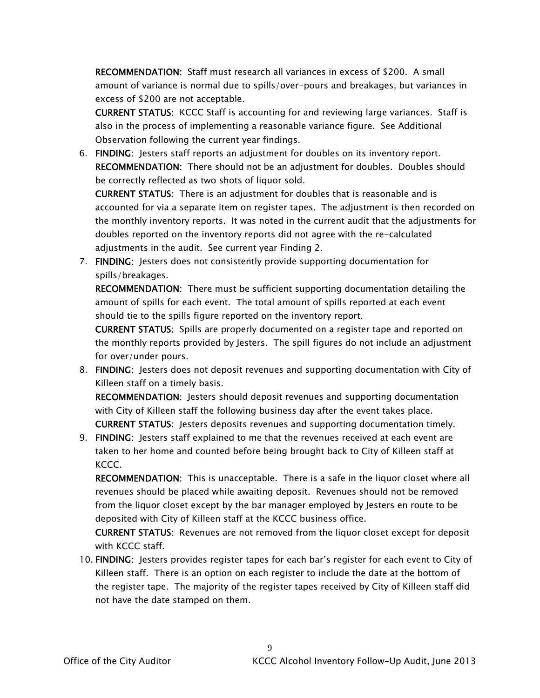RECOMMENDATION: Staff must research all variances in excess of \$200. A small amount of variance is normal due to spills/over-pours and breakages, but variances in excess of \$200 are not acceptable.

CURRENT STATUS: KCCC Staff is accounting for and reviewing large variances. Staff is also in the process of implementing a reasonable variance figure. See Additional Observation following the current year findings.

6. FINDING: Jesters staff reports an adjustment for doubles on its inventory report. RECOMMENDATION: There should not be an adjustment for doubles. Doubles should be correctly reflected as two shots of liquor sold.

CURRENT STATUS: There is an adjustment for doubles that is reasonable and is accounted for via a separate item on register tapes. The adjustment is then recorded on the monthly inventory reports. It was noted in the current audit that the adjustments for doubles reported on the inventory reports did not agree with the re-calculated adjustments in the audit. See current year Finding 2.

7. FINDING: Jesters does not consistently provide supporting documentation for spills/breakages.

RECOMMENDATION: There must be sufficient supporting documentation detailing the amount of spills for each event. The total amount of spills reported at each event should tie to the spills figure reported on the inventory report.

CURRENT STATUS: Spills are properly documented on a register tape and reported on the monthly reports provided by Jesters. The spill figures do not include an adjustment for over/under pours.

8. FINDING: Jesters does not deposit revenues and supporting documentation with City of Killeen staff on a timely basis.

RECOMMENDATION: Jesters should deposit revenues and supporting documentation with City of Killeen staff the following business day after the event takes place. CURRENT STATUS: Jesters deposits revenues and supporting documentation timely.

9. FINDING: Jesters staff explained to me that the revenues received at each event are taken to her home and counted before being brought back to City of Killeen staff at KCCC.

RECOMMENDATION: This is unacceptable. There is a safe in the liquor closet where all revenues should be placed while awaiting deposit. Revenues should not be removed from the liquor closet except by the bar manager employed by Jesters en route to be deposited with City of Killeen staff at the KCCC business office.

CURRENT STATUS: Revenues are not removed from the liquor closet except for deposit with KCCC staff.

10. FINDING: Jesters provides register tapes for each bar's register for each event to City of Killeen staff. There is an option on each register to include the date at the bottom of the register tape. The majority of the register tapes received by City of Killeen staff did not have the date stamped on them.

9